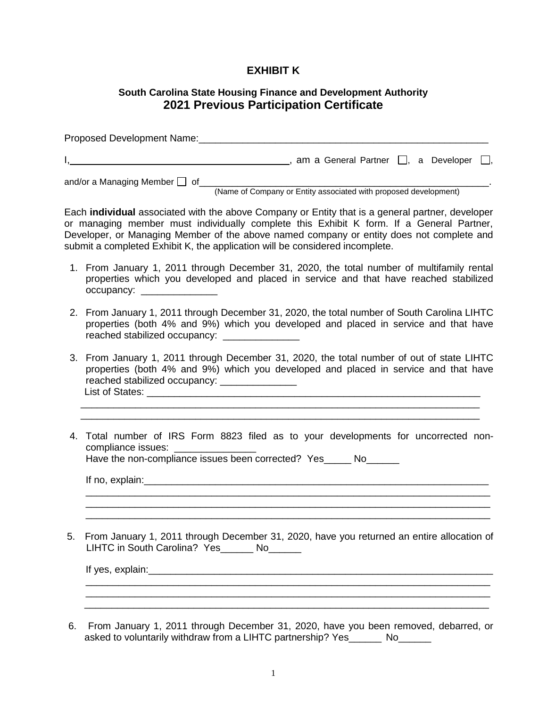## **EXHIBIT K**

## **South Carolina State Housing Finance and Development Authority 2021 Previous Participation Certificate**

| Proposed Development Name:         |                                                    |  |
|------------------------------------|----------------------------------------------------|--|
|                                    | am a General Partner $\Box$ , a Developer $\Box$ , |  |
| and/or a Managing Member $\Box$ of |                                                    |  |

(Name of Company or Entity associated with proposed development)

Each **individual** associated with the above Company or Entity that is a general partner, developer or managing member must individually complete this Exhibit K form. If a General Partner, Developer, or Managing Member of the above named company or entity does not complete and submit a completed Exhibit K, the application will be considered incomplete.

- 1. From January 1, 2011 through December 31, 2020, the total number of multifamily rental properties which you developed and placed in service and that have reached stabilized occupancy: \_\_\_\_\_\_\_\_\_\_\_\_\_\_
- 2. From January 1, 2011 through December 31, 2020, the total number of South Carolina LIHTC properties (both 4% and 9%) which you developed and placed in service and that have reached stabilized occupancy:
- 3. From January 1, 2011 through December 31, 2020, the total number of out of state LIHTC properties (both 4% and 9%) which you developed and placed in service and that have reached stabilized occupancy: \_\_\_\_\_\_\_\_\_\_\_\_\_\_\_\_ List of States: <u>example</u> and the state of States:

 $\overline{\phantom{a}}$  , and the contribution of the contribution of the contribution of the contribution of the contribution of the contribution of the contribution of the contribution of the contribution of the contribution of the  $\overline{\phantom{a}}$  , and the contribution of the contribution of the contribution of the contribution of the contribution of the contribution of the contribution of the contribution of the contribution of the contribution of the

4. Total number of IRS Form 8823 filed as to your developments for uncorrected noncompliance issues:

\_\_\_\_\_\_\_\_\_\_\_\_\_\_\_\_\_\_\_\_\_\_\_\_\_\_\_\_\_\_\_\_\_\_\_\_\_\_\_\_\_\_\_\_\_\_\_\_\_\_\_\_\_\_\_\_\_\_\_\_\_\_\_\_\_\_\_\_\_\_\_\_\_\_ \_\_\_\_\_\_\_\_\_\_\_\_\_\_\_\_\_\_\_\_\_\_\_\_\_\_\_\_\_\_\_\_\_\_\_\_\_\_\_\_\_\_\_\_\_\_\_\_\_\_\_\_\_\_\_\_\_\_\_\_\_\_\_\_\_\_\_\_\_\_\_\_\_\_

Have the non-compliance issues been corrected? Yes No

If no, explain:  $\Box$ 

5. From January 1, 2011 through December 31, 2020, have you returned an entire allocation of LIHTC in South Carolina? Yes\_\_\_\_\_\_\_ No\_\_\_\_\_\_

If yes, explain: The state of the state of the state of the state of the state of the state of the state of the state of the state of the state of the state of the state of the state of the state of the state of the state \_\_\_\_\_\_\_\_\_\_\_\_\_\_\_\_\_\_\_\_\_\_\_\_\_\_\_\_\_\_\_\_\_\_\_\_\_\_\_\_\_\_\_\_\_\_\_\_\_\_\_\_\_\_\_\_\_\_\_\_\_\_\_\_\_\_\_\_\_\_\_\_\_\_

6. From January 1, 2011 through December 31, 2020, have you been removed, debarred, or asked to voluntarily withdraw from a LIHTC partnership? Yes \_\_\_\_\_ No

\_\_\_\_\_\_\_\_\_\_\_\_\_\_\_\_\_\_\_\_\_\_\_\_\_\_\_\_\_\_\_\_\_\_\_\_\_\_\_\_\_\_\_\_\_\_\_\_\_\_\_\_\_\_\_\_\_\_\_\_\_\_\_\_\_\_\_\_\_\_\_\_\_\_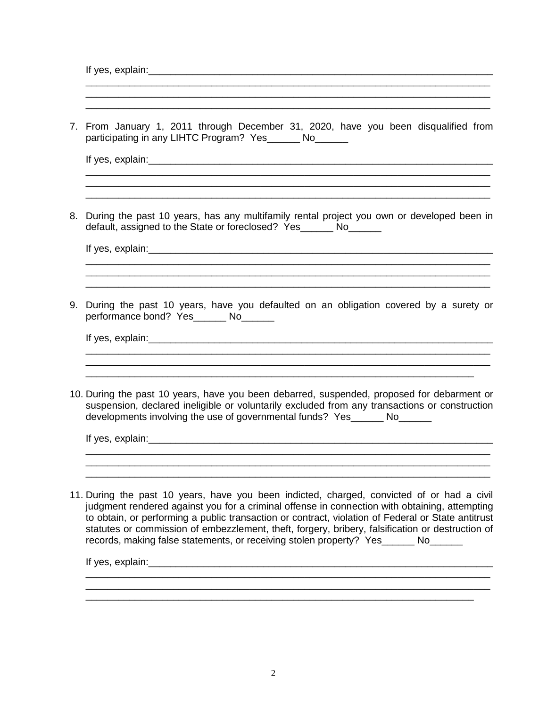| 7. | From January 1, 2011 through December 31, 2020, have you been disqualified from<br>participating in any LIHTC Program? Yes______ No______                                                                                                                                                                                                                                                                                                                                              |
|----|----------------------------------------------------------------------------------------------------------------------------------------------------------------------------------------------------------------------------------------------------------------------------------------------------------------------------------------------------------------------------------------------------------------------------------------------------------------------------------------|
|    |                                                                                                                                                                                                                                                                                                                                                                                                                                                                                        |
| 8. | During the past 10 years, has any multifamily rental project you own or developed been in<br>default, assigned to the State or foreclosed? Yes______ No______                                                                                                                                                                                                                                                                                                                          |
|    |                                                                                                                                                                                                                                                                                                                                                                                                                                                                                        |
| 9. | During the past 10 years, have you defaulted on an obligation covered by a surety or<br>performance bond? Yes_______ No_______                                                                                                                                                                                                                                                                                                                                                         |
|    |                                                                                                                                                                                                                                                                                                                                                                                                                                                                                        |
|    | 10. During the past 10 years, have you been debarred, suspended, proposed for debarment or<br>suspension, declared ineligible or voluntarily excluded from any transactions or construction<br>developments involving the use of governmental funds? Yes______ No______                                                                                                                                                                                                                |
|    |                                                                                                                                                                                                                                                                                                                                                                                                                                                                                        |
|    | 11. During the past 10 years, have you been indicted, charged, convicted of or had a civil<br>judgment rendered against you for a criminal offense in connection with obtaining, attempting<br>to obtain, or performing a public transaction or contract, violation of Federal or State antitrust<br>statutes or commission of embezzlement, theft, forgery, bribery, falsification or destruction of<br>records, making false statements, or receiving stolen property? Yes ______ No |
|    |                                                                                                                                                                                                                                                                                                                                                                                                                                                                                        |

\_\_\_\_\_\_\_\_\_\_\_\_\_\_\_\_\_\_\_\_\_\_\_\_\_\_\_\_\_\_\_\_\_\_\_\_\_\_\_\_\_\_\_\_\_\_\_\_\_\_\_\_\_\_\_\_\_\_\_\_\_\_\_\_\_\_\_\_\_\_\_